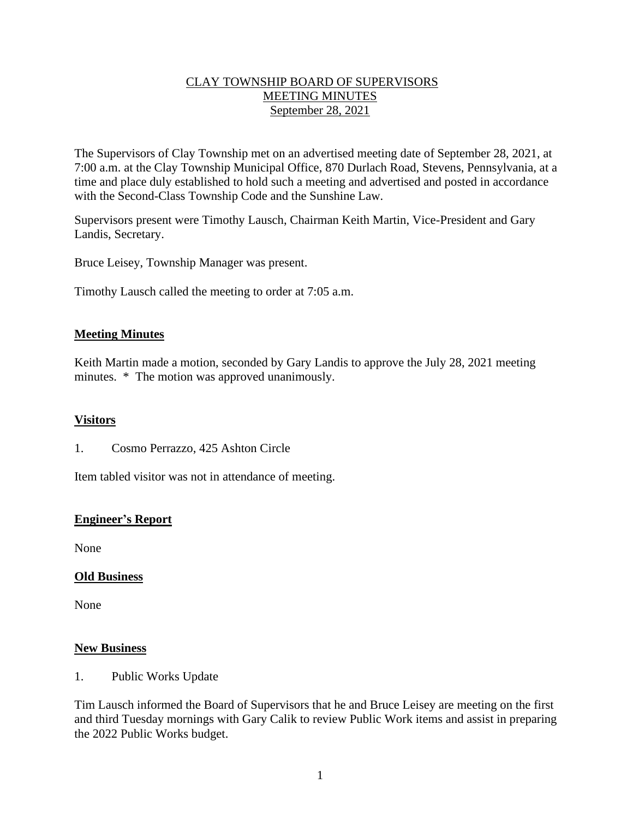# CLAY TOWNSHIP BOARD OF SUPERVISORS MEETING MINUTES September 28, 2021

The Supervisors of Clay Township met on an advertised meeting date of September 28, 2021, at 7:00 a.m. at the Clay Township Municipal Office, 870 Durlach Road, Stevens, Pennsylvania, at a time and place duly established to hold such a meeting and advertised and posted in accordance with the Second-Class Township Code and the Sunshine Law.

Supervisors present were Timothy Lausch, Chairman Keith Martin, Vice-President and Gary Landis, Secretary.

Bruce Leisey, Township Manager was present.

Timothy Lausch called the meeting to order at 7:05 a.m.

## **Meeting Minutes**

Keith Martin made a motion, seconded by Gary Landis to approve the July 28, 2021 meeting minutes. \* The motion was approved unanimously.

#### **Visitors**

1. Cosmo Perrazzo, 425 Ashton Circle

Item tabled visitor was not in attendance of meeting.

# **Engineer's Report**

None

#### **Old Business**

None

#### **New Business**

1. Public Works Update

Tim Lausch informed the Board of Supervisors that he and Bruce Leisey are meeting on the first and third Tuesday mornings with Gary Calik to review Public Work items and assist in preparing the 2022 Public Works budget.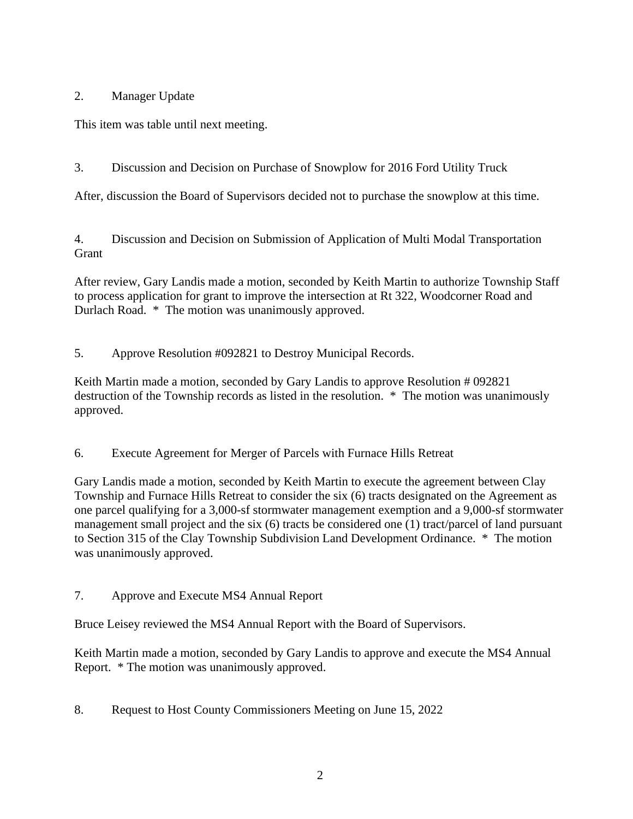# 2. Manager Update

This item was table until next meeting.

3. Discussion and Decision on Purchase of Snowplow for 2016 Ford Utility Truck

After, discussion the Board of Supervisors decided not to purchase the snowplow at this time.

4. Discussion and Decision on Submission of Application of Multi Modal Transportation **Grant** 

After review, Gary Landis made a motion, seconded by Keith Martin to authorize Township Staff to process application for grant to improve the intersection at Rt 322, Woodcorner Road and Durlach Road. \* The motion was unanimously approved.

5. Approve Resolution #092821 to Destroy Municipal Records.

Keith Martin made a motion, seconded by Gary Landis to approve Resolution # 092821 destruction of the Township records as listed in the resolution. \* The motion was unanimously approved.

6. Execute Agreement for Merger of Parcels with Furnace Hills Retreat

Gary Landis made a motion, seconded by Keith Martin to execute the agreement between Clay Township and Furnace Hills Retreat to consider the six (6) tracts designated on the Agreement as one parcel qualifying for a 3,000-sf stormwater management exemption and a 9,000-sf stormwater management small project and the six  $(6)$  tracts be considered one  $(1)$  tract/parcel of land pursuant to Section 315 of the Clay Township Subdivision Land Development Ordinance. \* The motion was unanimously approved.

7. Approve and Execute MS4 Annual Report

Bruce Leisey reviewed the MS4 Annual Report with the Board of Supervisors.

Keith Martin made a motion, seconded by Gary Landis to approve and execute the MS4 Annual Report. \* The motion was unanimously approved.

8. Request to Host County Commissioners Meeting on June 15, 2022